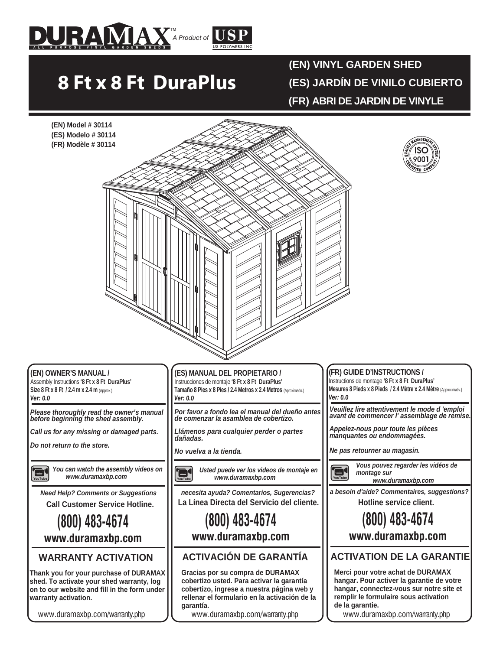

# **8 Ft x 8 Ft DuraPlus**

**(EN) VINYL GARDEN SHED**

**(ES) JARDÍN DE VINILO CUBIERTO**

**(FR) ABRI DE JARDIN DE VINYLE**



www.duramaxbp.com/warranty.php

**garantía.**

www.duramaxbp.com/warranty.php

www.duramaxbp.com/warranty.php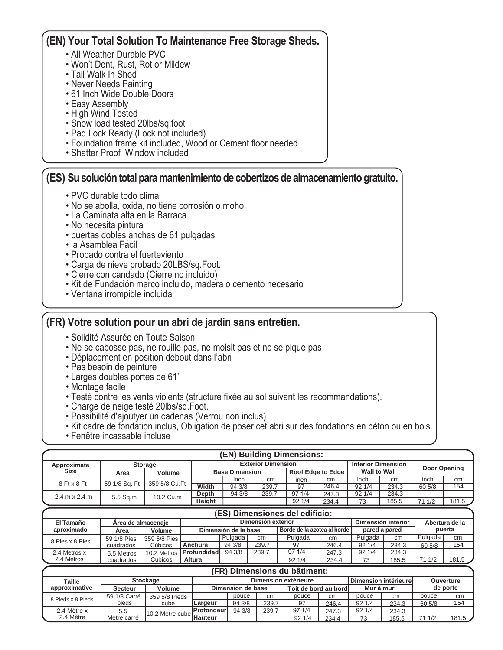## **(EN) Your Total Solution To Maintenance Free Storage Sheds.**

- All Weather Durable PVC
- Won't Dent, Rust, Rot or Mildew
- Tall Walk In Shed
- Never Needs Painting
- 61 Inch Wide Double Doors
- Easy Assembly
- High Wind Tested
- Snow load tested 20lbs/sq.foot
- Pad Lock Ready (Lock not included)
- Foundation frame kit included, Wood or Cement floor needed
- Shatter Proof Window included

### **(ES) Su solución total para mantenimiento de cobertizos de almacenamiento gratuito.**

- PVC durable todo clima
- No se abolla, oxida, no tiene corrosión o moho
- La Caminata alta en la Barraca
- No necesita pintura
- puertas dobles anchas de 61 pulgadas
- la Asamblea Fácil
- Probado contra el fuerteviento
- Carga de nieve probado 20LBS/sq.Foot.
- Cierre con candado (Cierre no incluido)
- Kit de Fundación marco incluido, madera o cemento necesario
- Ventana irrompible incluida

#### **(FR) Votre solution pour un abri de jardin sans entretien.**

- Solidité Assurée en Toute Saison
- Ne se cabosse pas, ne rouille pas, ne moisit pas et ne se pique pas
- Déplacement en position debout dans l'abri
- Pas besoin de peinture
- Larges doubles portes de 61''
- Montage facile
- Testé contre les vents violents (structure fixée au sol suivant les recommandations).
- Charge de neige testé 20lbs/sq.Foot.
- Possibilité d'ajoutyer un cadenas (Verrou non inclus)
- Kit cadre de fondation inclus, Obligation de poser cet abri sur des fondations en béton ou en bois.
- Fenêtre incassable incluse

| (EN) Building Dimensions:            |                |               |        |                       |                           |       |                           |              |       |              |       |
|--------------------------------------|----------------|---------------|--------|-----------------------|---------------------------|-------|---------------------------|--------------|-------|--------------|-------|
| Approximate                          | <b>Storage</b> |               |        |                       | <b>Exterior Dimension</b> |       | <b>Interior Dimension</b> |              |       |              |       |
| Size                                 | Area           | <b>Volume</b> |        | <b>Base Dimension</b> |                           |       | Roof Edge to Edge         | Wall to Wall |       | Door Opening |       |
| 8 Ft x 8 Ft                          | 59 1/8 Sq. Ft  | 359 5/8 Cu.Ft |        | inch                  | cm                        | inch  | cm                        | inch         | cm    | inch         | cm    |
|                                      |                |               | Width  | 94 3/8                | 239.7                     | 97    | 246.4                     | 921/4        | 234.3 | 60 5/8       | 154   |
| $2.4 \text{ m} \times 2.4 \text{ m}$ | 5.5 Sa.m       | 10.2 Cu.m     | Depth  | 94 3/8                | 239.7                     | 971/4 | 247.3                     | 92 1/4       | 234.3 |              |       |
|                                      |                |               | Height |                       |                           | 921/4 | 234.4                     | 73           | 185.5 | 71 1/2       | 181.5 |

| (ES) Dimensiones del edificio: |                    |              |                                                       |                    |       |                |       |               |       |         |       |
|--------------------------------|--------------------|--------------|-------------------------------------------------------|--------------------|-------|----------------|-------|---------------|-------|---------|-------|
| El Tamaño                      | Area de almacenaie |              |                                                       | Dimensión interior |       | Abertura de la |       |               |       |         |       |
| aproximado                     | Area               | Volume       | Borde de la azotea al borde l<br>Dimensión de la base |                    |       |                |       | pared a pared |       | puerta  |       |
| 8 Pies x 8 Pies                | 59 1/8 Pies        | 359 5/8 Pies |                                                       | Pulgada            | cm    | Pulgada        | cm    | Pulgada       | cm    | Pulgada | cm    |
|                                | cuadrados          | Cúbicos      | Anchura                                               | 94 3/8             | 239.7 | 97             | 246.4 | 921/4         | 234.3 | 60 5/8  | 154   |
| 2.4 Metros x                   | 5.5 Metros         |              | 10.2 Metros   Profundidad                             | 94 3/8             | 239.7 | 971/4          | 247.3 | 92 1/4        | 234.3 |         |       |
| 2.4 Metros                     | cuadrados          | Cúbicos      | Altura                                                |                    |       | 921/4          | 234.4 | 73            | 185.5 | 71 1/2  | 181.5 |

|                         | (FR) Dimensions du bâtiment: |                 |                                 |                    |                   |                      |                                   |       |                      |        |                  |       |
|-------------------------|------------------------------|-----------------|---------------------------------|--------------------|-------------------|----------------------|-----------------------------------|-------|----------------------|--------|------------------|-------|
| Taille<br>approximative |                              | <b>Stockage</b> |                                 |                    |                   | Dimension extérieure |                                   |       | Dimension intérieure |        | <b>Ouverture</b> |       |
|                         |                              | Secteur         | <b>Volume</b>                   |                    | Dimension de base |                      | Mur à mur<br>Toit de bord au bord |       |                      |        | de porte         |       |
| 8 Pieds x 8 Pieds       | 59 1/8 Carré                 | 359 5/8 Pieds   |                                 | pouce              | cm                | pouce                | cm                                | pouce | cm                   | pouce  | cm               |       |
|                         | pieds                        | cube            | Largeur                         | 94 3/8             | 239.7             | 97                   | 246.4                             | 921/4 | 234.3                | 60 5/8 | 154              |       |
|                         | 2.4 Mètre x                  | 5.5             | I10.2 Mètre cubel <del>'.</del> | <b>IProfondeur</b> | 94 3/8            | 239.7                | 971/4                             | 247.3 | 921/4                | 234.3  |                  |       |
|                         | 2.4 Mètre                    | Mètre carré     |                                 | <b>Hauteur</b>     |                   |                      | 921/4                             | 234.4 | 73                   | 185.5  | 71 1/2           | 181.5 |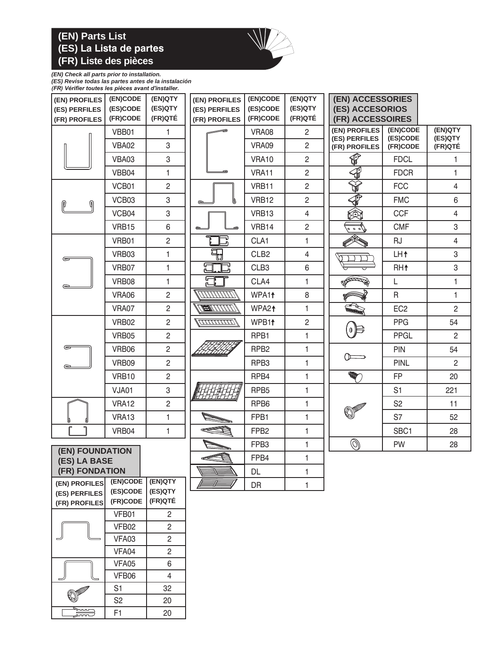### **(EN) Parts List (ES) La Lista de partes (FR) Liste des pièces**



# *(EN) Check all parts prior to installation.*

*(ES) Revise todas las partes antes de la instalación (FR) Vérifier toutes les pièces avant d'installer.*

| (EN)CODE<br>(EN) PROFILES       |                                              | (EN)QTY        | (EN) PROFILES      | (EN)CODE          | (EN)QTY                 | <b>(EN) ACCESSORIES</b>        |                      |                    |
|---------------------------------|----------------------------------------------|----------------|--------------------|-------------------|-------------------------|--------------------------------|----------------------|--------------------|
| (ES) PERFILES                   | (ES)CODE                                     | (ES)QTY        | (ES) PERFILES      | (ES)CODE          | (ES)QTY                 | <b>(ES) ACCESORIOS</b>         |                      |                    |
| (FR) PROFILES                   | (FR)CODE                                     | (FR)QTÉ        | (FR) PROFILES      | (FR)CODE          | (FR)QTÉ                 | (FR) ACCESSOIRES               |                      |                    |
|                                 | VBB01                                        | 1.             |                    | VRA08             | $\overline{c}$          | (EN) PROFILES<br>(ES) PERFILES | (EN)CODE<br>(ES)CODE | (EN)QTY<br>(ES)QTY |
|                                 | <b>VBA02</b>                                 | 3              |                    | VRA09             | $\overline{c}$          | (FR) PROFILES                  | (FR)CODE             | (FR)QTÉ            |
|                                 | VBA03                                        | 3              |                    | VRA10             | $\overline{2}$          | $\overline{\mathbb{Q}}$        | <b>FDCL</b>          | 1                  |
|                                 | VBB04                                        | $\mathbf{1}$   |                    | VRA11             | $\overline{2}$          | $\bigoplus$                    | <b>FDCR</b>          | $\mathbf{1}$       |
|                                 | VCB01                                        | $\overline{2}$ |                    | VRB11             | $\overline{2}$          | ý                              | <b>FCC</b>           | $\overline{4}$     |
| ⋒<br>ℙ                          | VCB03                                        | 3              | Ø<br>$\circ$       | VRB12             | $\overline{c}$          | $\hat{\Phi}$                   | <b>FMC</b>           | 6                  |
|                                 | VCB04                                        | 3              |                    | VRB13             | $\overline{\mathbf{4}}$ | 興                              | <b>CCF</b>           | $\overline{4}$     |
|                                 | VRB15                                        | 6              | $\approx$          | VRB14             | $\overline{c}$          | $\sqrt[3]{200}$                | <b>CMF</b>           | 3                  |
|                                 | VRB01                                        | $\overline{2}$ |                    | CLA1              | 1                       |                                | <b>RJ</b>            | $\overline{4}$     |
| ⋐                               | VRB03                                        | 1              | Я<br>U             | CLB <sub>2</sub>  | 4                       |                                | LH <sup>+</sup>      | 3                  |
|                                 | VRB07                                        | $\mathbf{1}$   | ╔<br>깊<br>ட        | CLB <sub>3</sub>  | 6                       |                                | RH <sup>+</sup>      | 3                  |
|                                 | VRB08                                        | 1              | ም                  | CLA4              | 1                       | <b>ROCKERT ROOM</b>            | L                    | 1                  |
|                                 | VRA06                                        | $\sqrt{2}$     | TITTITTITTI        | WPA1 <sup>+</sup> | 8                       |                                | R                    | $\mathbf{1}$       |
|                                 | VRA07                                        | $\overline{2}$ | <b>TANTING</b>     | WPA2 <sup>↑</sup> | $\mathbf{1}$            |                                | EC <sub>2</sub>      | $\overline{2}$     |
|                                 | VRB02                                        | $\overline{c}$ | <b>TITTITITITI</b> | WPB11             | $\overline{c}$          | $0 \mathrel{\Vdash}$           | <b>PPG</b>           | 54                 |
|                                 | VRB05                                        | $\overline{2}$ |                    | RPB1              | $\mathbf{1}$            |                                | <b>PPGL</b>          | $\overline{2}$     |
| $\epsilon$                      | VRB06                                        | $\overline{2}$ |                    | RPB <sub>2</sub>  | $\mathbf{1}$            | () <del>___</del>              | <b>PIN</b>           | 54                 |
|                                 | VRB09                                        | $\overline{2}$ |                    | RPB3              | $\mathbf{1}$            |                                | <b>PINL</b>          | $\overline{2}$     |
|                                 | VRB10                                        | $\overline{c}$ |                    | RPB4              | $\mathbf{1}$            | <b>RADIO</b>                   | <b>FP</b>            | 20                 |
|                                 | VJA01                                        | 3              |                    | RPB <sub>5</sub>  | $\mathbf{1}$            |                                | S <sub>1</sub>       | 221                |
|                                 | VRA12                                        | $\overline{c}$ |                    | RPB <sub>6</sub>  | 1                       |                                | S <sub>2</sub>       | 11                 |
|                                 | VRA13                                        | 1              |                    | FPB1              | 1                       |                                | S7                   | 52                 |
|                                 | VRB04                                        | $\mathbf{1}$   |                    | FPB <sub>2</sub>  | $\mathbf{1}$            |                                | SBC1                 | 28                 |
|                                 |                                              |                |                    | FPB <sub>3</sub>  | $\mathbf{1}$            | $\circledS$                    | PW                   | 28                 |
| (EN) FOUNDATION<br>(ES) LA BASE |                                              |                | FPB4               | $\mathbf{1}$      |                         |                                |                      |                    |
| (FR) FONDATION                  |                                              |                |                    | DL                | $\mathbf{1}$            |                                |                      |                    |
| (EN) PROFILES                   | (EN)CODE (EN)QTY<br>$E$ COCODE $E$ $E$ COCTV |                |                    | DR                | $\mathbf{1}$            |                                |                      |                    |

| (EN) PROFILES<br>(ES) PERFILES<br>(FR) PROFILES | (EN)CODE<br>(ES)CODE<br>(FR)CODE | (EN)Q I Y<br>(ES)QTY<br>(FR)QTÉ |  |  |
|-------------------------------------------------|----------------------------------|---------------------------------|--|--|
|                                                 | VFB01                            | $\mathfrak{p}$                  |  |  |
|                                                 | VFB02                            | 2                               |  |  |
|                                                 | VFA03                            | 2                               |  |  |
|                                                 | VFA04                            | 2                               |  |  |
|                                                 | VFA05                            | 6                               |  |  |
|                                                 | VFB06                            | 4                               |  |  |
| <b>AND DOWNER</b>                               | S <sub>1</sub>                   | 32                              |  |  |
|                                                 | S <sub>2</sub>                   | 20                              |  |  |
|                                                 | F1                               | 20                              |  |  |